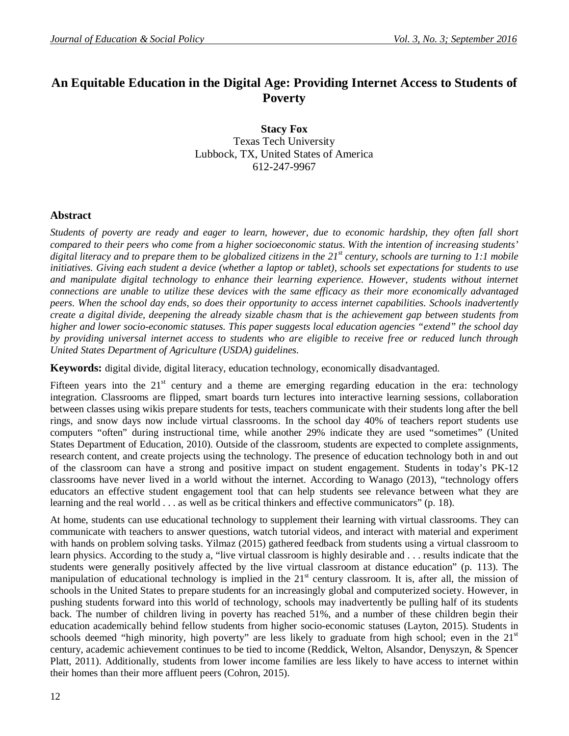# **An Equitable Education in the Digital Age: Providing Internet Access to Students of Poverty**

**Stacy Fox** Texas Tech University Lubbock, TX, United States of America 612-247-9967

## **Abstract**

*Students of poverty are ready and eager to learn, however, due to economic hardship, they often fall short compared to their peers who come from a higher socioeconomic status. With the intention of increasing students' digital literacy and to prepare them to be globalized citizens in the 21st century, schools are turning to 1:1 mobile initiatives. Giving each student a device (whether a laptop or tablet), schools set expectations for students to use and manipulate digital technology to enhance their learning experience. However, students without internet connections are unable to utilize these devices with the same efficacy as their more economically advantaged peers. When the school day ends, so does their opportunity to access internet capabilities. Schools inadvertently create a digital divide, deepening the already sizable chasm that is the achievement gap between students from higher and lower socio-economic statuses. This paper suggests local education agencies "extend" the school day by providing universal internet access to students who are eligible to receive free or reduced lunch through United States Department of Agriculture (USDA) guidelines.*

**Keywords:** digital divide, digital literacy, education technology, economically disadvantaged.

Fifteen years into the  $21<sup>st</sup>$  century and a theme are emerging regarding education in the era: technology integration. Classrooms are flipped, smart boards turn lectures into interactive learning sessions, collaboration between classes using wikis prepare students for tests, teachers communicate with their students long after the bell rings, and snow days now include virtual classrooms. In the school day 40% of teachers report students use computers "often" during instructional time, while another 29% indicate they are used "sometimes" (United States Department of Education, 2010). Outside of the classroom, students are expected to complete assignments, research content, and create projects using the technology. The presence of education technology both in and out of the classroom can have a strong and positive impact on student engagement. Students in today's PK-12 classrooms have never lived in a world without the internet. According to Wanago (2013), "technology offers educators an effective student engagement tool that can help students see relevance between what they are learning and the real world . . . as well as be critical thinkers and effective communicators" (p. 18).

At home, students can use educational technology to supplement their learning with virtual classrooms. They can communicate with teachers to answer questions, watch tutorial videos, and interact with material and experiment with hands on problem solving tasks. Yilmaz (2015) gathered feedback from students using a virtual classroom to learn physics. According to the study a, "live virtual classroom is highly desirable and . . . results indicate that the students were generally positively affected by the live virtual classroom at distance education" (p. 113). The manipulation of educational technology is implied in the 21<sup>st</sup> century classroom. It is, after all, the mission of schools in the United States to prepare students for an increasingly global and computerized society. However, in pushing students forward into this world of technology, schools may inadvertently be pulling half of its students back. The number of children living in poverty has reached 51%, and a number of these children begin their education academically behind fellow students from higher socio-economic statuses (Layton, 2015). Students in schools deemed "high minority, high poverty" are less likely to graduate from high school; even in the 21<sup>st</sup> century, academic achievement continues to be tied to income (Reddick, Welton, Alsandor, Denyszyn, & Spencer Platt, 2011). Additionally, students from lower income families are less likely to have access to internet within their homes than their more affluent peers (Cohron, 2015).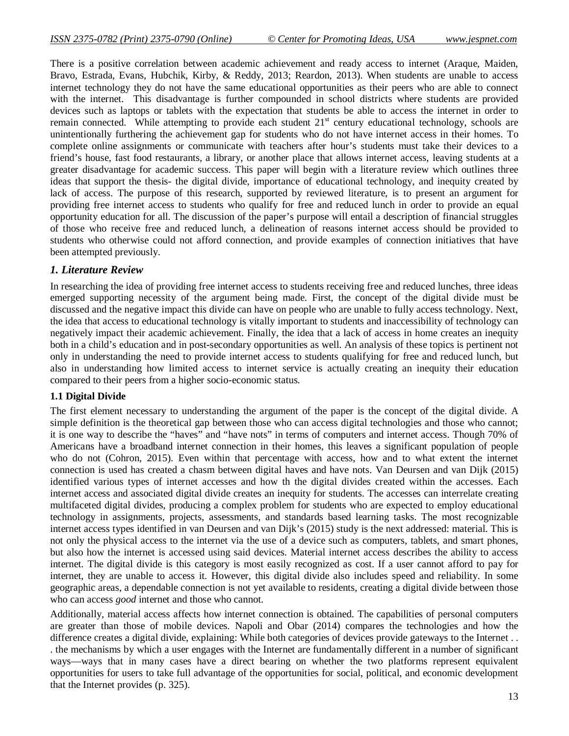There is a positive correlation between academic achievement and ready access to internet (Araque, Maiden, Bravo, Estrada, Evans, Hubchik, Kirby, & Reddy, 2013; Reardon, 2013). When students are unable to access internet technology they do not have the same educational opportunities as their peers who are able to connect with the internet. This disadvantage is further compounded in school districts where students are provided devices such as laptops or tablets with the expectation that students be able to access the internet in order to remain connected. While attempting to provide each student 21<sup>st</sup> century educational technology, schools are unintentionally furthering the achievement gap for students who do not have internet access in their homes. To complete online assignments or communicate with teachers after hour's students must take their devices to a friend's house, fast food restaurants, a library, or another place that allows internet access, leaving students at a greater disadvantage for academic success. This paper will begin with a literature review which outlines three ideas that support the thesis- the digital divide, importance of educational technology, and inequity created by lack of access. The purpose of this research, supported by reviewed literature, is to present an argument for providing free internet access to students who qualify for free and reduced lunch in order to provide an equal opportunity education for all. The discussion of the paper's purpose will entail a description of financial struggles of those who receive free and reduced lunch, a delineation of reasons internet access should be provided to students who otherwise could not afford connection, and provide examples of connection initiatives that have been attempted previously.

#### *1. Literature Review*

In researching the idea of providing free internet access to students receiving free and reduced lunches, three ideas emerged supporting necessity of the argument being made. First, the concept of the digital divide must be discussed and the negative impact this divide can have on people who are unable to fully access technology. Next, the idea that access to educational technology is vitally important to students and inaccessibility of technology can negatively impact their academic achievement. Finally, the idea that a lack of access in home creates an inequity both in a child's education and in post-secondary opportunities as well. An analysis of these topics is pertinent not only in understanding the need to provide internet access to students qualifying for free and reduced lunch, but also in understanding how limited access to internet service is actually creating an inequity their education compared to their peers from a higher socio-economic status.

#### **1.1 Digital Divide**

The first element necessary to understanding the argument of the paper is the concept of the digital divide. A simple definition is the theoretical gap between those who can access digital technologies and those who cannot; it is one way to describe the "haves" and "have nots" in terms of computers and internet access. Though 70% of Americans have a broadband internet connection in their homes, this leaves a significant population of people who do not (Cohron, 2015). Even within that percentage with access, how and to what extent the internet connection is used has created a chasm between digital haves and have nots. Van Deursen and van Dijk (2015) identified various types of internet accesses and how th the digital divides created within the accesses. Each internet access and associated digital divide creates an inequity for students. The accesses can interrelate creating multifaceted digital divides, producing a complex problem for students who are expected to employ educational technology in assignments, projects, assessments, and standards based learning tasks. The most recognizable internet access types identified in van Deursen and van Dijk's (2015) study is the next addressed: material. This is not only the physical access to the internet via the use of a device such as computers, tablets, and smart phones, but also how the internet is accessed using said devices. Material internet access describes the ability to access internet. The digital divide is this category is most easily recognized as cost. If a user cannot afford to pay for internet, they are unable to access it. However, this digital divide also includes speed and reliability. In some geographic areas, a dependable connection is not yet available to residents, creating a digital divide between those who can access *good* internet and those who cannot.

Additionally, material access affects how internet connection is obtained. The capabilities of personal computers are greater than those of mobile devices. Napoli and Obar (2014) compares the technologies and how the difference creates a digital divide, explaining: While both categories of devices provide gateways to the Internet . . . the mechanisms by which a user engages with the Internet are fundamentally different in a number of significant ways—ways that in many cases have a direct bearing on whether the two platforms represent equivalent opportunities for users to take full advantage of the opportunities for social, political, and economic development that the Internet provides (p. 325).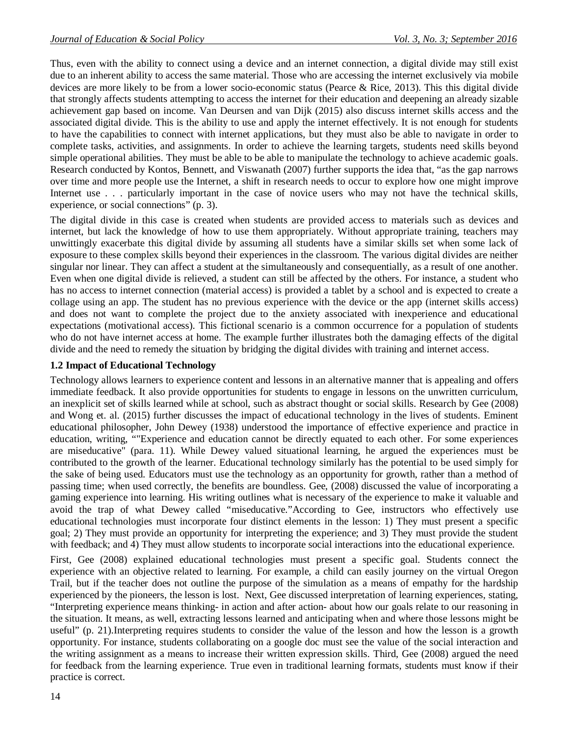Thus, even with the ability to connect using a device and an internet connection, a digital divide may still exist due to an inherent ability to access the same material. Those who are accessing the internet exclusively via mobile devices are more likely to be from a lower socio-economic status (Pearce & Rice, 2013). This this digital divide that strongly affects students attempting to access the internet for their education and deepening an already sizable achievement gap based on income. Van Deursen and van Dijk (2015) also discuss internet skills access and the associated digital divide. This is the ability to use and apply the internet effectively. It is not enough for students to have the capabilities to connect with internet applications, but they must also be able to navigate in order to complete tasks, activities, and assignments. In order to achieve the learning targets, students need skills beyond simple operational abilities. They must be able to be able to manipulate the technology to achieve academic goals. Research conducted by Kontos, Bennett, and Viswanath (2007) further supports the idea that, "as the gap narrows over time and more people use the Internet, a shift in research needs to occur to explore how one might improve Internet use . . . particularly important in the case of novice users who may not have the technical skills, experience, or social connections" (p. 3).

The digital divide in this case is created when students are provided access to materials such as devices and internet, but lack the knowledge of how to use them appropriately. Without appropriate training, teachers may unwittingly exacerbate this digital divide by assuming all students have a similar skills set when some lack of exposure to these complex skills beyond their experiences in the classroom. The various digital divides are neither singular nor linear. They can affect a student at the simultaneously and consequentially, as a result of one another. Even when one digital divide is relieved, a student can still be affected by the others. For instance, a student who has no access to internet connection (material access) is provided a tablet by a school and is expected to create a collage using an app. The student has no previous experience with the device or the app (internet skills access) and does not want to complete the project due to the anxiety associated with inexperience and educational expectations (motivational access). This fictional scenario is a common occurrence for a population of students who do not have internet access at home. The example further illustrates both the damaging effects of the digital divide and the need to remedy the situation by bridging the digital divides with training and internet access.

## **1.2 Impact of Educational Technology**

Technology allows learners to experience content and lessons in an alternative manner that is appealing and offers immediate feedback. It also provide opportunities for students to engage in lessons on the unwritten curriculum, an inexplicit set of skills learned while at school, such as abstract thought or social skills. Research by Gee (2008) and Wong et. al. (2015) further discusses the impact of educational technology in the lives of students. Eminent educational philosopher, John Dewey (1938) understood the importance of effective experience and practice in education, writing, ""Experience and education cannot be directly equated to each other. For some experiences are miseducative" (para. 11). While Dewey valued situational learning, he argued the experiences must be contributed to the growth of the learner. Educational technology similarly has the potential to be used simply for the sake of being used. Educators must use the technology as an opportunity for growth, rather than a method of passing time; when used correctly, the benefits are boundless. Gee, (2008) discussed the value of incorporating a gaming experience into learning. His writing outlines what is necessary of the experience to make it valuable and avoid the trap of what Dewey called "miseducative."According to Gee, instructors who effectively use educational technologies must incorporate four distinct elements in the lesson: 1) They must present a specific goal; 2) They must provide an opportunity for interpreting the experience; and 3) They must provide the student with feedback; and 4) They must allow students to incorporate social interactions into the educational experience.

First, Gee (2008) explained educational technologies must present a specific goal. Students connect the experience with an objective related to learning. For example, a child can easily journey on the virtual Oregon Trail, but if the teacher does not outline the purpose of the simulation as a means of empathy for the hardship experienced by the pioneers, the lesson is lost. Next, Gee discussed interpretation of learning experiences, stating, "Interpreting experience means thinking- in action and after action- about how our goals relate to our reasoning in the situation. It means, as well, extracting lessons learned and anticipating when and where those lessons might be useful" (p. 21).Interpreting requires students to consider the value of the lesson and how the lesson is a growth opportunity. For instance, students collaborating on a google doc must see the value of the social interaction and the writing assignment as a means to increase their written expression skills. Third, Gee (2008) argued the need for feedback from the learning experience. True even in traditional learning formats, students must know if their practice is correct.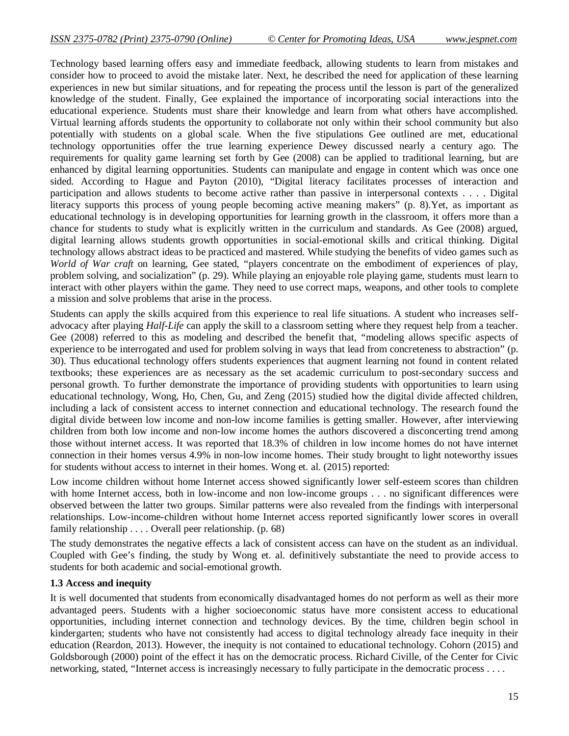Technology based learning offers easy and immediate feedback, allowing students to learn from mistakes and consider how to proceed to avoid the mistake later. Next, he described the need for application of these learning experiences in new but similar situations, and for repeating the process until the lesson is part of the generalized knowledge of the student. Finally, Gee explained the importance of incorporating social interactions into the educational experience. Students must share their knowledge and learn from what others have accomplished. Virtual learning affords students the opportunity to collaborate not only within their school community but also potentially with students on a global scale. When the five stipulations Gee outlined are met, educational technology opportunities offer the true learning experience Dewey discussed nearly a century ago. The requirements for quality game learning set forth by Gee (2008) can be applied to traditional learning, but are enhanced by digital learning opportunities. Students can manipulate and engage in content which was once one sided. According to Hague and Payton (2010), "Digital literacy facilitates processes of interaction and participation and allows students to become active rather than passive in interpersonal contexts . . . . Digital literacy supports this process of young people becoming active meaning makers" (p. 8). Yet, as important as educational technology is in developing opportunities for learning growth in the classroom, it offers more than a chance for students to study what is explicitly written in the curriculum and standards. As Gee (2008) argued, digital learning allows students growth opportunities in social-emotional skills and critical thinking. Digital technology allows abstract ideas to be practiced and mastered. While studying the benefits of video games such as *World of War craft* on learning, Gee stated, "players concentrate on the embodiment of experiences of play, problem solving, and socialization" (p. 29). While playing an enjoyable role playing game, students must learn to interact with other players within the game. They need to use correct maps, weapons, and other tools to complete a mission and solve problems that arise in the process.

Students can apply the skills acquired from this experience to real life situations. A student who increases selfadvocacy after playing *Half-Life* can apply the skill to a classroom setting where they request help from a teacher. Gee (2008) referred to this as modeling and described the benefit that, "modeling allows specific aspects of experience to be interrogated and used for problem solving in ways that lead from concreteness to abstraction" (p. 30). Thus educational technology offers students experiences that augment learning not found in content related textbooks; these experiences are as necessary as the set academic curriculum to post-secondary success and personal growth. To further demonstrate the importance of providing students with opportunities to learn using educational technology, Wong, Ho, Chen, Gu, and Zeng (2015) studied how the digital divide affected children, including a lack of consistent access to internet connection and educational technology. The research found the digital divide between low income and non-low income families is getting smaller. However, after interviewing children from both low income and non-low income homes the authors discovered a disconcerting trend among those without internet access. It was reported that 18.3% of children in low income homes do not have internet connection in their homes versus 4.9% in non-low income homes. Their study brought to light noteworthy issues for students without access to internet in their homes. Wong et. al. (2015) reported:

Low income children without home Internet access showed significantly lower self-esteem scores than children with home Internet access, both in low-income and non low-income groups . . . no significant differences were observed between the latter two groups. Similar patterns were also revealed from the findings with interpersonal relationships. Low-income-children without home Internet access reported significantly lower scores in overall family relationship . . . . Overall peer relationship. (p. 68)

The study demonstrates the negative effects a lack of consistent access can have on the student as an individual. Coupled with Gee's finding, the study by Wong et. al. definitively substantiate the need to provide access to students for both academic and social-emotional growth.

#### **1.3 Access and inequity**

It is well documented that students from economically disadvantaged homes do not perform as well as their more advantaged peers. Students with a higher socioeconomic status have more consistent access to educational opportunities, including internet connection and technology devices. By the time, children begin school in kindergarten; students who have not consistently had access to digital technology already face inequity in their education (Reardon, 2013). However, the inequity is not contained to educational technology. Cohorn (2015) and Goldsborough (2000) point of the effect it has on the democratic process. Richard Civille, of the Center for Civic networking, stated, "Internet access is increasingly necessary to fully participate in the democratic process . . . .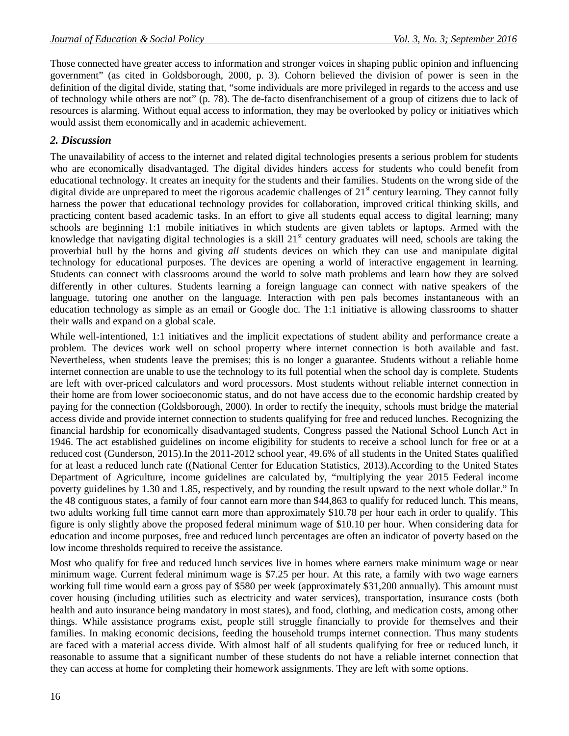Those connected have greater access to information and stronger voices in shaping public opinion and influencing government" (as cited in Goldsborough, 2000, p. 3). Cohorn believed the division of power is seen in the definition of the digital divide, stating that, "some individuals are more privileged in regards to the access and use of technology while others are not" (p. 78). The de-facto disenfranchisement of a group of citizens due to lack of resources is alarming. Without equal access to information, they may be overlooked by policy or initiatives which would assist them economically and in academic achievement.

## *2. Discussion*

The unavailability of access to the internet and related digital technologies presents a serious problem for students who are economically disadvantaged. The digital divides hinders access for students who could benefit from educational technology. It creates an inequity for the students and their families. Students on the wrong side of the digital divide are unprepared to meet the rigorous academic challenges of  $21<sup>st</sup>$  century learning. They cannot fully harness the power that educational technology provides for collaboration, improved critical thinking skills, and practicing content based academic tasks. In an effort to give all students equal access to digital learning; many schools are beginning 1:1 mobile initiatives in which students are given tablets or laptops. Armed with the knowledge that navigating digital technologies is a skill  $21<sup>st</sup>$  century graduates will need, schools are taking the proverbial bull by the horns and giving *all* students devices on which they can use and manipulate digital technology for educational purposes. The devices are opening a world of interactive engagement in learning. Students can connect with classrooms around the world to solve math problems and learn how they are solved differently in other cultures. Students learning a foreign language can connect with native speakers of the language, tutoring one another on the language. Interaction with pen pals becomes instantaneous with an education technology as simple as an email or Google doc. The 1:1 initiative is allowing classrooms to shatter their walls and expand on a global scale.

While well-intentioned, 1:1 initiatives and the implicit expectations of student ability and performance create a problem. The devices work well on school property where internet connection is both available and fast. Nevertheless, when students leave the premises; this is no longer a guarantee. Students without a reliable home internet connection are unable to use the technology to its full potential when the school day is complete. Students are left with over-priced calculators and word processors. Most students without reliable internet connection in their home are from lower socioeconomic status, and do not have access due to the economic hardship created by paying for the connection (Goldsborough, 2000). In order to rectify the inequity, schools must bridge the material access divide and provide internet connection to students qualifying for free and reduced lunches. Recognizing the financial hardship for economically disadvantaged students, Congress passed the National School Lunch Act in 1946. The act established guidelines on income eligibility for students to receive a school lunch for free or at a reduced cost (Gunderson, 2015).In the 2011-2012 school year, 49.6% of all students in the United States qualified for at least a reduced lunch rate ((National Center for Education Statistics, 2013).According to the United States Department of Agriculture, income guidelines are calculated by, "multiplying the year 2015 Federal income poverty guidelines by 1.30 and 1.85, respectively, and by rounding the result upward to the next whole dollar." In the 48 contiguous states, a family of four cannot earn more than \$44,863 to qualify for reduced lunch. This means, two adults working full time cannot earn more than approximately \$10.78 per hour each in order to qualify. This figure is only slightly above the proposed federal minimum wage of \$10.10 per hour. When considering data for education and income purposes, free and reduced lunch percentages are often an indicator of poverty based on the low income thresholds required to receive the assistance.

Most who qualify for free and reduced lunch services live in homes where earners make minimum wage or near minimum wage. Current federal minimum wage is \$7.25 per hour. At this rate, a family with two wage earners working full time would earn a gross pay of \$580 per week (approximately \$31,200 annually). This amount must cover housing (including utilities such as electricity and water services), transportation, insurance costs (both health and auto insurance being mandatory in most states), and food, clothing, and medication costs, among other things. While assistance programs exist, people still struggle financially to provide for themselves and their families. In making economic decisions, feeding the household trumps internet connection. Thus many students are faced with a material access divide. With almost half of all students qualifying for free or reduced lunch, it reasonable to assume that a significant number of these students do not have a reliable internet connection that they can access at home for completing their homework assignments. They are left with some options.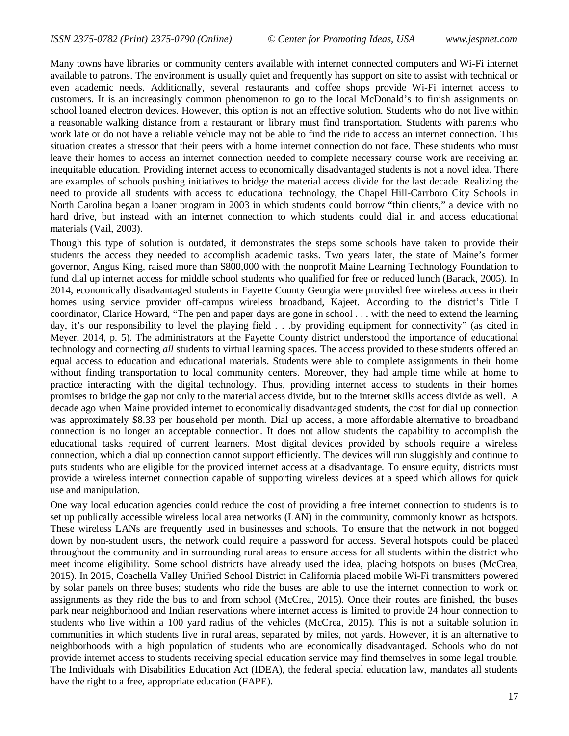Many towns have libraries or community centers available with internet connected computers and Wi-Fi internet available to patrons. The environment is usually quiet and frequently has support on site to assist with technical or even academic needs. Additionally, several restaurants and coffee shops provide Wi-Fi internet access to customers. It is an increasingly common phenomenon to go to the local McDonald's to finish assignments on school loaned electron devices. However, this option is not an effective solution. Students who do not live within a reasonable walking distance from a restaurant or library must find transportation. Students with parents who work late or do not have a reliable vehicle may not be able to find the ride to access an internet connection. This situation creates a stressor that their peers with a home internet connection do not face. These students who must leave their homes to access an internet connection needed to complete necessary course work are receiving an inequitable education. Providing internet access to economically disadvantaged students is not a novel idea. There are examples of schools pushing initiatives to bridge the material access divide for the last decade. Realizing the need to provide all students with access to educational technology, the Chapel Hill-Carrboro City Schools in North Carolina began a loaner program in 2003 in which students could borrow "thin clients," a device with no hard drive, but instead with an internet connection to which students could dial in and access educational materials (Vail, 2003).

Though this type of solution is outdated, it demonstrates the steps some schools have taken to provide their students the access they needed to accomplish academic tasks. Two years later, the state of Maine's former governor, Angus King, raised more than \$800,000 with the nonprofit Maine Learning Technology Foundation to fund dial up internet access for middle school students who qualified for free or reduced lunch (Barack, 2005). In 2014, economically disadvantaged students in Fayette County Georgia were provided free wireless access in their homes using service provider off-campus wireless broadband, Kajeet. According to the district's Title I coordinator, Clarice Howard, "The pen and paper days are gone in school . . . with the need to extend the learning day, it's our responsibility to level the playing field . . .by providing equipment for connectivity" (as cited in Meyer, 2014, p. 5). The administrators at the Fayette County district understood the importance of educational technology and connecting *all* students to virtual learning spaces. The access provided to these students offered an equal access to education and educational materials. Students were able to complete assignments in their home without finding transportation to local community centers. Moreover, they had ample time while at home to practice interacting with the digital technology. Thus, providing internet access to students in their homes promises to bridge the gap not only to the material access divide, but to the internet skills access divide as well. A decade ago when Maine provided internet to economically disadvantaged students, the cost for dial up connection was approximately \$8.33 per household per month. Dial up access, a more affordable alternative to broadband connection is no longer an acceptable connection. It does not allow students the capability to accomplish the educational tasks required of current learners. Most digital devices provided by schools require a wireless connection, which a dial up connection cannot support efficiently. The devices will run sluggishly and continue to puts students who are eligible for the provided internet access at a disadvantage. To ensure equity, districts must provide a wireless internet connection capable of supporting wireless devices at a speed which allows for quick use and manipulation.

One way local education agencies could reduce the cost of providing a free internet connection to students is to set up publically accessible wireless local area networks (LAN) in the community, commonly known as hotspots. These wireless LANs are frequently used in businesses and schools. To ensure that the network in not bogged down by non-student users, the network could require a password for access. Several hotspots could be placed throughout the community and in surrounding rural areas to ensure access for all students within the district who meet income eligibility. Some school districts have already used the idea, placing hotspots on buses (McCrea, 2015). In 2015, Coachella Valley Unified School District in California placed mobile Wi-Fi transmitters powered by solar panels on three buses; students who ride the buses are able to use the internet connection to work on assignments as they ride the bus to and from school (McCrea, 2015). Once their routes are finished, the buses park near neighborhood and Indian reservations where internet access is limited to provide 24 hour connection to students who live within a 100 yard radius of the vehicles (McCrea, 2015). This is not a suitable solution in communities in which students live in rural areas, separated by miles, not yards. However, it is an alternative to neighborhoods with a high population of students who are economically disadvantaged. Schools who do not provide internet access to students receiving special education service may find themselves in some legal trouble. The Individuals with Disabilities Education Act (IDEA), the federal special education law, mandates all students have the right to a free, appropriate education (FAPE).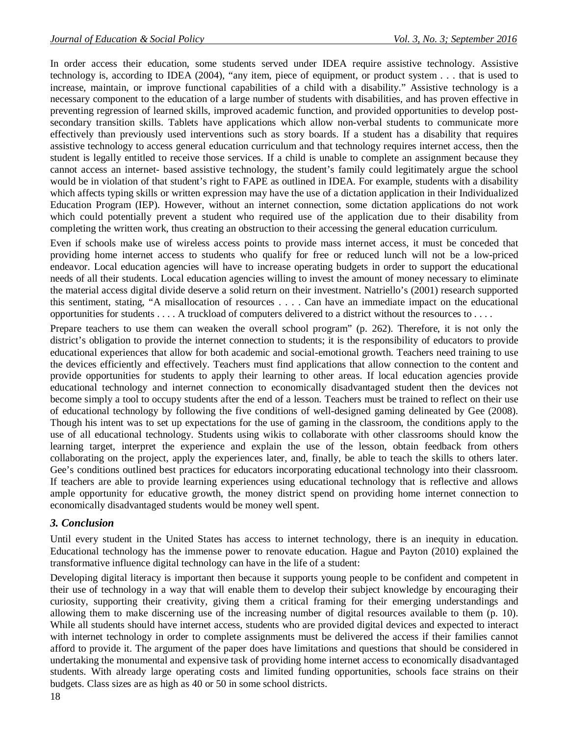In order access their education, some students served under IDEA require assistive technology. Assistive technology is, according to IDEA (2004), "any item, piece of equipment, or product system . . . that is used to increase, maintain, or improve functional capabilities of a child with a disability." Assistive technology is a necessary component to the education of a large number of students with disabilities, and has proven effective in preventing regression of learned skills, improved academic function, and provided opportunities to develop postsecondary transition skills. Tablets have applications which allow non-verbal students to communicate more effectively than previously used interventions such as story boards. If a student has a disability that requires assistive technology to access general education curriculum and that technology requires internet access, then the student is legally entitled to receive those services. If a child is unable to complete an assignment because they cannot access an internet- based assistive technology, the student's family could legitimately argue the school would be in violation of that student's right to FAPE as outlined in IDEA. For example, students with a disability which affects typing skills or written expression may have the use of a dictation application in their Individualized Education Program (IEP). However, without an internet connection, some dictation applications do not work which could potentially prevent a student who required use of the application due to their disability from completing the written work, thus creating an obstruction to their accessing the general education curriculum.

Even if schools make use of wireless access points to provide mass internet access, it must be conceded that providing home internet access to students who qualify for free or reduced lunch will not be a low-priced endeavor. Local education agencies will have to increase operating budgets in order to support the educational needs of all their students. Local education agencies willing to invest the amount of money necessary to eliminate the material access digital divide deserve a solid return on their investment. Natriello's (2001) research supported this sentiment, stating, "A misallocation of resources . . . . Can have an immediate impact on the educational opportunities for students . . . . A truckload of computers delivered to a district without the resources to . . . .

Prepare teachers to use them can weaken the overall school program" (p. 262). Therefore, it is not only the district's obligation to provide the internet connection to students; it is the responsibility of educators to provide educational experiences that allow for both academic and social-emotional growth. Teachers need training to use the devices efficiently and effectively. Teachers must find applications that allow connection to the content and provide opportunities for students to apply their learning to other areas. If local education agencies provide educational technology and internet connection to economically disadvantaged student then the devices not become simply a tool to occupy students after the end of a lesson. Teachers must be trained to reflect on their use of educational technology by following the five conditions of well-designed gaming delineated by Gee (2008). Though his intent was to set up expectations for the use of gaming in the classroom, the conditions apply to the use of all educational technology. Students using wikis to collaborate with other classrooms should know the learning target, interpret the experience and explain the use of the lesson, obtain feedback from others collaborating on the project, apply the experiences later, and, finally, be able to teach the skills to others later. Gee's conditions outlined best practices for educators incorporating educational technology into their classroom. If teachers are able to provide learning experiences using educational technology that is reflective and allows ample opportunity for educative growth, the money district spend on providing home internet connection to economically disadvantaged students would be money well spent.

## *3. Conclusion*

Until every student in the United States has access to internet technology, there is an inequity in education. Educational technology has the immense power to renovate education. Hague and Payton (2010) explained the transformative influence digital technology can have in the life of a student:

Developing digital literacy is important then because it supports young people to be confident and competent in their use of technology in a way that will enable them to develop their subject knowledge by encouraging their curiosity, supporting their creativity, giving them a critical framing for their emerging understandings and allowing them to make discerning use of the increasing number of digital resources available to them (p. 10). While all students should have internet access, students who are provided digital devices and expected to interact with internet technology in order to complete assignments must be delivered the access if their families cannot afford to provide it. The argument of the paper does have limitations and questions that should be considered in undertaking the monumental and expensive task of providing home internet access to economically disadvantaged students. With already large operating costs and limited funding opportunities, schools face strains on their budgets. Class sizes are as high as 40 or 50 in some school districts.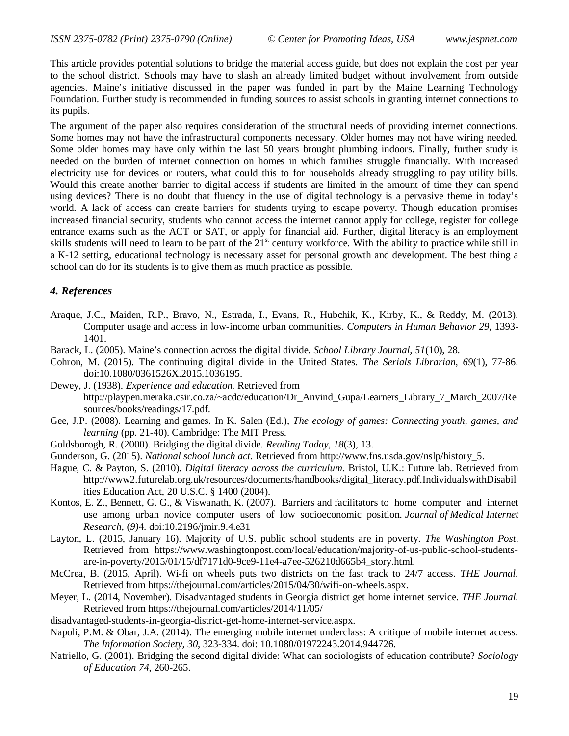This article provides potential solutions to bridge the material access guide, but does not explain the cost per year to the school district. Schools may have to slash an already limited budget without involvement from outside agencies. Maine's initiative discussed in the paper was funded in part by the Maine Learning Technology Foundation. Further study is recommended in funding sources to assist schools in granting internet connections to its pupils.

The argument of the paper also requires consideration of the structural needs of providing internet connections. Some homes may not have the infrastructural components necessary. Older homes may not have wiring needed. Some older homes may have only within the last 50 years brought plumbing indoors. Finally, further study is needed on the burden of internet connection on homes in which families struggle financially. With increased electricity use for devices or routers, what could this to for households already struggling to pay utility bills. Would this create another barrier to digital access if students are limited in the amount of time they can spend using devices? There is no doubt that fluency in the use of digital technology is a pervasive theme in today's world. A lack of access can create barriers for students trying to escape poverty. Though education promises increased financial security, students who cannot access the internet cannot apply for college, register for college entrance exams such as the ACT or SAT, or apply for financial aid. Further, digital literacy is an employment skills students will need to learn to be part of the 21<sup>st</sup> century workforce. With the ability to practice while still in a K-12 setting, educational technology is necessary asset for personal growth and development. The best thing a school can do for its students is to give them as much practice as possible.

## *4. References*

- Araque, J.C., Maiden, R.P., Bravo, N., Estrada, I., Evans, R., Hubchik, K., Kirby, K., & Reddy, M. (2013). Computer usage and access in low-income urban communities. *Computers in Human Behavior 29,* 1393- 1401.
- Barack, L. (2005). Maine's connection across the digital divide. *School Library Journal, 51*(10), 28.
- Cohron, M. (2015). The continuing digital divide in the United States. *The Serials Librarian, 69*(1), 77-86. doi:10.1080/0361526X.2015.1036195.
- Dewey, J. (1938). *Experience and education.* Retrieved from http://playpen.meraka.csir.co.za/~acdc/education/Dr\_Anvind\_Gupa/Learners\_Library\_7\_March\_2007/Re sources/books/readings/17.pdf.
- Gee, J.P. (2008). Learning and games. In K. Salen (Ed.), *The ecology of games: Connecting youth, games, and learning* (pp. 21-40). Cambridge: The MIT Press.
- Goldsborogh, R. (2000). Bridging the digital divide. *Reading Today, 18*(3), 13.
- Gunderson, G. (2015). *National school lunch act*. Retrieved from http://www.fns.usda.gov/nslp/history\_5.
- Hague, C. & Payton, S. (2010). *Digital literacy across the curriculum.* Bristol, U.K.: Future lab. Retrieved from http://www2.futurelab.org.uk/resources/documents/handbooks/digital\_literacy.pdf.IndividualswithDisabil ities Education Act, 20 U.S.C. § 1400 (2004).
- Kontos, E. Z., Bennett, G. G., & Viswanath, K. (2007). Barriers and facilitators to home computer and internet use among urban novice computer users of low socioeconomic position. *Journal of Medical Internet Research*, (*9)*4. doi:10.2196/jmir.9.4.e31
- Layton, L. (2015, January 16). Majority of U.S. public school students are in poverty. *The Washington Post*. Retrieved from https://www.washingtonpost.com/local/education/majority-of-us-public-school-studentsare-in-poverty/2015/01/15/df7171d0-9ce9-11e4-a7ee-526210d665b4\_story.html.
- McCrea, B. (2015, April). Wi-fi on wheels puts two districts on the fast track to 24/7 access. *THE Journal.* Retrieved from https://thejournal.com/articles/2015/04/30/wifi-on-wheels.aspx.
- Meyer, L. (2014, November). Disadvantaged students in Georgia district get home internet service. *THE Journal.* Retrieved from https://thejournal.com/articles/2014/11/05/
- disadvantaged-students-in-georgia-district-get-home-internet-service.aspx.
- Napoli, P.M. & Obar, J.A. (2014). The emerging mobile internet underclass: A critique of mobile internet access. *The Information Society, 30*, 323-334. doi: 10.1080/01972243.2014.944726.
- Natriello, G. (2001). Bridging the second digital divide: What can sociologists of education contribute? *Sociology of Education 74*, 260-265.